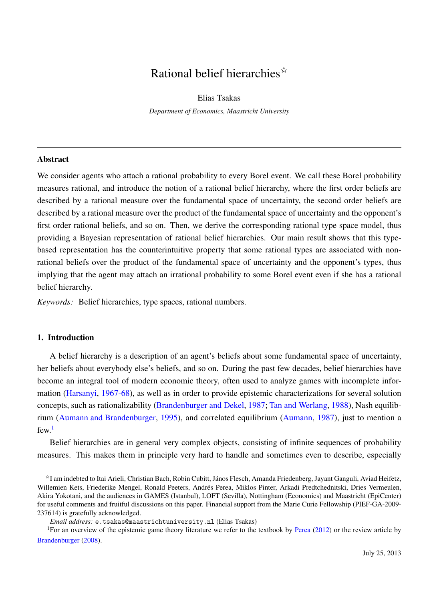# Rational belief hierarchies  $\mathbb{R}$

Elias Tsakas *Department of Economics, Maastricht University*

### Abstract

We consider agents who attach a rational probability to every Borel event. We call these Borel probability measures rational, and introduce the notion of a rational belief hierarchy, where the first order beliefs are described by a rational measure over the fundamental space of uncertainty, the second order beliefs are described by a rational measure over the product of the fundamental space of uncertainty and the opponent's first order rational beliefs, and so on. Then, we derive the corresponding rational type space model, thus providing a Bayesian representation of rational belief hierarchies. Our main result shows that this typebased representation has the counterintuitive property that some rational types are associated with nonrational beliefs over the product of the fundamental space of uncertainty and the opponent's types, thus implying that the agent may attach an irrational probability to some Borel event even if she has a rational belief hierarchy.

*Keywords:* Belief hierarchies, type spaces, rational numbers.

## 1. Introduction

A belief hierarchy is a description of an agent's beliefs about some fundamental space of uncertainty, her beliefs about everybody else's beliefs, and so on. During the past few decades, belief hierarchies have become an integral tool of modern economic theory, often used to analyze games with incomplete information (Harsanyi, 1967-68), as well as in order to provide epistemic characterizations for several solution concepts, such as rationalizability (Brandenburger and Dekel, 1987; Tan and Werlang, 1988), Nash equilibrium (Aumann and Brandenburger, 1995), and correlated equilibrium (Aumann, 1987), just to mention a few $<sup>1</sup>$ </sup>

Belief hierarchies are in general very complex objects, consisting of infinite sequences of probability measures. This makes them in principle very hard to handle and sometimes even to describe, especially

<sup>✩</sup>I am indebted to Itai Arieli, Christian Bach, Robin Cubitt, Janos Flesch, Amanda Friedenberg, Jayant Ganguli, Aviad Heifetz, ´ Willemien Kets, Friederike Mengel, Ronald Peeters, Andres Perea, Miklos Pinter, Arkadi Predtchednitski, Dries Vermeulen, ´ Akira Yokotani, and the audiences in GAMES (Istanbul), LOFT (Sevilla), Nottingham (Economics) and Maastricht (EpiCenter) for useful comments and fruitful discussions on this paper. Financial support from the Marie Curie Fellowship (PIEF-GA-2009- 237614) is gratefully acknowledged.

*Email address:* e.tsakas@maastrichtuniversity.nl (Elias Tsakas)

<sup>&</sup>lt;sup>1</sup>For an overview of the epistemic game theory literature we refer to the textbook by Perea  $(2012)$  or the review article by Brandenburger (2008).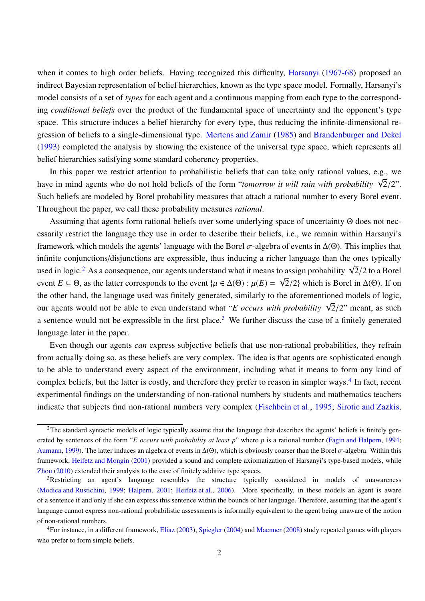when it comes to high order beliefs. Having recognized this difficulty, Harsanyi (1967-68) proposed an indirect Bayesian representation of belief hierarchies, known as the type space model. Formally, Harsanyi's model consists of a set of *types* for each agent and a continuous mapping from each type to the corresponding *conditional beliefs* over the product of the fundamental space of uncertainty and the opponent's type space. This structure induces a belief hierarchy for every type, thus reducing the infinite-dimensional regression of beliefs to a single-dimensional type. Mertens and Zamir (1985) and Brandenburger and Dekel (1993) completed the analysis by showing the existence of the universal type space, which represents all belief hierarchies satisfying some standard coherency properties.

In this paper we restrict attention to probabilistic beliefs that can take only rational values, e.g., we have in mind agents who do not hold beliefs of the form "*tomorrow it will rain with probability*  $\sqrt{2}/2$ ". Such beliefs are modeled by Borel probability measures that attach a rational number to every Borel event. Throughout the paper, we call these probability measures *rational*.

Assuming that agents form rational beliefs over some underlying space of uncertainty Θ does not necessarily restrict the language they use in order to describe their beliefs, i.e., we remain within Harsanyi's framework which models the agents' language with the Borel  $\sigma$ -algebra of events in  $\Delta(\Theta)$ . This implies that infinite conjunctions/disjunctions are expressible, thus inducing a richer language than the ones typically where conjunctions, disjunctions are expressionly thus modeling a rienci ranguage than the ones typically used in logic.<sup>2</sup> As a consequence, our agents understand what it means to assign probability  $\sqrt{2}/2$  to a Borel event  $E \subseteq \Theta$ , as the latter corresponds to the event  $\{\mu \in \Delta(\Theta) : \mu(E) = \sqrt{2}/2\}$  which is Borel in  $\Delta(\Theta)$ . If on the other hand, the language used was finitely generated, similarly to the aforementioned models of logic, our agents would not be able to even understand what "*E occurs with probability*  $\sqrt{2}/2$ " meant, as such our agents would not be able to even understand what "*E occurs with probability*  $\sqrt{2}/2$ " meant, as such a sentence would not be expressible in the first place.<sup>3</sup> We further discuss the case of a finitely generated language later in the paper.

Even though our agents *can* express subjective beliefs that use non-rational probabilities, they refrain from actually doing so, as these beliefs are very complex. The idea is that agents are sophisticated enough to be able to understand every aspect of the environment, including what it means to form any kind of complex beliefs, but the latter is costly, and therefore they prefer to reason in simpler ways.<sup>4</sup> In fact, recent experimental findings on the understanding of non-rational numbers by students and mathematics teachers indicate that subjects find non-rational numbers very complex (Fischbein et al., 1995; Sirotic and Zazkis,

<sup>&</sup>lt;sup>2</sup>The standard syntactic models of logic typically assume that the language that describes the agents' beliefs is finitely generated by sentences of the form "*E occurs with probability at least p*" where *p* is a rational number (Fagin and Halpern, 1994; Aumann, 1999). The latter induces an algebra of events in  $\Delta(\Theta)$ , which is obviously coarser than the Borel  $\sigma$ -algebra. Within this framework, Heifetz and Mongin (2001) provided a sound and complete axiomatization of Harsanyi's type-based models, while Zhou (2010) extended their analysis to the case of finitely additive type spaces.

<sup>&</sup>lt;sup>3</sup>Restricting an agent's language resembles the structure typically considered in models of unawareness (Modica and Rustichini, 1999; Halpern, 2001; Heifetz et al., 2006). More specifically, in these models an agent is aware of a sentence if and only if she can express this sentence within the bounds of her language. Therefore, assuming that the agent's language cannot express non-rational probabilistic assessments is informally equivalent to the agent being unaware of the notion of non-rational numbers.

<sup>&</sup>lt;sup>4</sup>For instance, in a different framework, Eliaz (2003), Spiegler (2004) and Maenner (2008) study repeated games with players who prefer to form simple beliefs.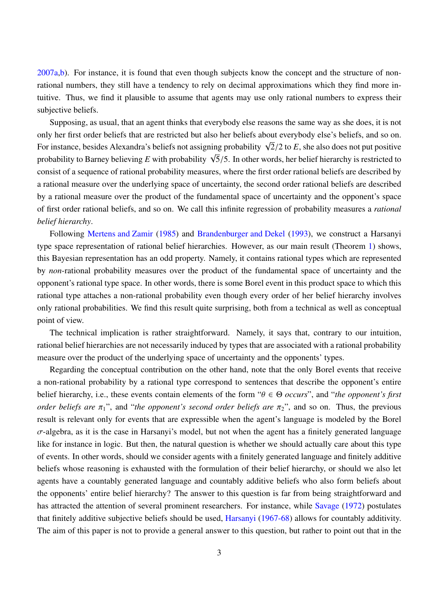2007a,b). For instance, it is found that even though subjects know the concept and the structure of nonrational numbers, they still have a tendency to rely on decimal approximations which they find more intuitive. Thus, we find it plausible to assume that agents may use only rational numbers to express their subjective beliefs.

Supposing, as usual, that an agent thinks that everybody else reasons the same way as she does, it is not only her first order beliefs that are restricted but also her beliefs about everybody else's beliefs, and so on. For instance, besides Alexandra's beliefs not assigning probability  $\sqrt{2}/2$  to *E*, she also does not put positive probability to Barney believing *<sup>E</sup>* with probability <sup>√</sup> 5/5. In other words, her belief hierarchy is restricted to consist of a sequence of rational probability measures, where the first order rational beliefs are described by a rational measure over the underlying space of uncertainty, the second order rational beliefs are described by a rational measure over the product of the fundamental space of uncertainty and the opponent's space of first order rational beliefs, and so on. We call this infinite regression of probability measures a *rational belief hierarchy*.

Following Mertens and Zamir (1985) and Brandenburger and Dekel (1993), we construct a Harsanyi type space representation of rational belief hierarchies. However, as our main result (Theorem 1) shows, this Bayesian representation has an odd property. Namely, it contains rational types which are represented by *non*-rational probability measures over the product of the fundamental space of uncertainty and the opponent's rational type space. In other words, there is some Borel event in this product space to which this rational type attaches a non-rational probability even though every order of her belief hierarchy involves only rational probabilities. We find this result quite surprising, both from a technical as well as conceptual point of view.

The technical implication is rather straightforward. Namely, it says that, contrary to our intuition, rational belief hierarchies are not necessarily induced by types that are associated with a rational probability measure over the product of the underlying space of uncertainty and the opponents' types.

Regarding the conceptual contribution on the other hand, note that the only Borel events that receive a non-rational probability by a rational type correspond to sentences that describe the opponent's entire belief hierarchy, i.e., these events contain elements of the form "θ ∈ Θ *occurs*", and "*the opponent's first order beliefs are*  $\pi_1$ ", and "*the opponent's second order beliefs are*  $\pi_2$ ", and so on. Thus, the previous result is relevant only for events that are expressible when the agent's language is modeled by the Borel  $\sigma$ -algebra, as it is the case in Harsanyi's model, but not when the agent has a finitely generated language like for instance in logic. But then, the natural question is whether we should actually care about this type of events. In other words, should we consider agents with a finitely generated language and finitely additive beliefs whose reasoning is exhausted with the formulation of their belief hierarchy, or should we also let agents have a countably generated language and countably additive beliefs who also form beliefs about the opponents' entire belief hierarchy? The answer to this question is far from being straightforward and has attracted the attention of several prominent researchers. For instance, while Savage (1972) postulates that finitely additive subjective beliefs should be used, Harsanyi (1967-68) allows for countably additivity. The aim of this paper is not to provide a general answer to this question, but rather to point out that in the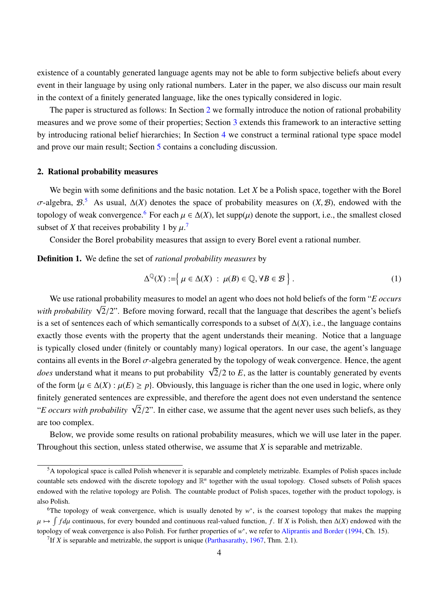existence of a countably generated language agents may not be able to form subjective beliefs about every event in their language by using only rational numbers. Later in the paper, we also discuss our main result in the context of a finitely generated language, like the ones typically considered in logic.

The paper is structured as follows: In Section 2 we formally introduce the notion of rational probability measures and we prove some of their properties; Section 3 extends this framework to an interactive setting by introducing rational belief hierarchies; In Section 4 we construct a terminal rational type space model and prove our main result; Section 5 contains a concluding discussion.

### 2. Rational probability measures

We begin with some definitions and the basic notation. Let *X* be a Polish space, together with the Borel σ-algebra, B. <sup>5</sup> As usual, ∆(*X*) denotes the space of probability measures on (*X*, B), endowed with the topology of weak convergence.<sup>6</sup> For each  $\mu \in \Delta(X)$ , let supp( $\mu$ ) denote the support, i.e., the smallest closed subset of *X* that receives probability 1 by  $\mu$ .<sup>7</sup>

Consider the Borel probability measures that assign to every Borel event a rational number.

# Definition 1. We define the set of *rational probability measures* by

$$
\Delta^{\mathbb{Q}}(X) := \left\{ \mu \in \Delta(X) \; : \; \mu(B) \in \mathbb{Q}, \forall B \in \mathcal{B} \right\}.
$$
 (1)

We use rational probability measures to model an agent who does not hold beliefs of the form "*E occurs we use radional probability* measures to moder an agent who does not not benefis of the form E occurs with probability  $\sqrt{2}/2$ ". Before moving forward, recall that the language that describes the agent's beliefs is a set of sentences each of which semantically corresponds to a subset of  $\Delta(X)$ , i.e., the language contains exactly those events with the property that the agent understands their meaning. Notice that a language is typically closed under (finitely or countably many) logical operators. In our case, the agent's language contains all events in the Borel  $\sigma$ -algebra generated by the topology of weak convergence. Hence, the agent *does* understand what it means to put probability  $\sqrt{2}/2$  to *E*, as the latter is countably generated by events does of the form  $\{\mu \in \Delta(X) : \mu(E) \geq p\}$ . Obviously, this language is richer than the one used in logic, where only finitely generated sentences are expressible, and therefore the agent does not even understand the sentence  $\frac{d}{dx}$  is extended sentences are expressione, and therefore the agent does not even understand the sentence  $\frac{d}{dx}$ . In either case, we assume that the agent never uses such beliefs, as they are too complex.

Below, we provide some results on rational probability measures, which we will use later in the paper. Throughout this section, unless stated otherwise, we assume that *X* is separable and metrizable.

<sup>5</sup>A topological space is called Polish whenever it is separable and completely metrizable. Examples of Polish spaces include countable sets endowed with the discrete topology and  $\mathbb{R}^n$  together with the usual topology. Closed subsets of Polish spaces endowed with the relative topology are Polish. The countable product of Polish spaces, together with the product topology, is also Polish.

<sup>&</sup>lt;sup>6</sup>The topology of weak convergence, which is usually denoted by w<sup>\*</sup>, is the coarsest topology that makes the mapping  $\mu \mapsto \int f d\mu$  continuous, for every bounded and continuous real-valued function, *f*. If *X* is Polish, then ∆(*X*) endowed with the topology of weak convergence is also Polish. For further properties of w<sup>\*</sup>, we refer to Aliprantis and Border (1994, Ch. 15).

<sup>&</sup>lt;sup>7</sup>If *X* is separable and metrizable, the support is unique (Parthasarathy, 1967, Thm. 2.1).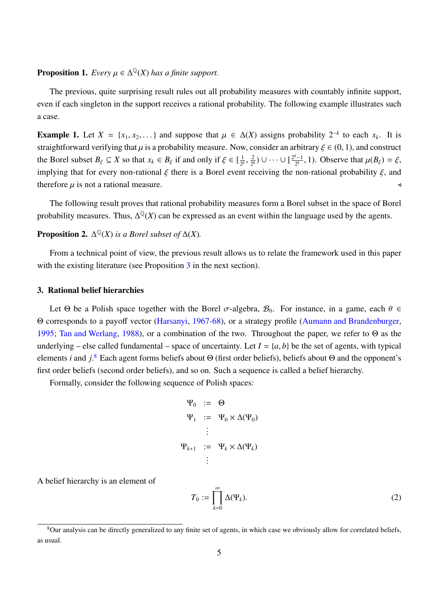**Proposition 1.** *Every*  $\mu \in \Delta^{\mathbb{Q}}(X)$  *has a finite support.* 

The previous, quite surprising result rules out all probability measures with countably infinite support, even if each singleton in the support receives a rational probability. The following example illustrates such a case.

**Example 1.** Let  $X = \{x_1, x_2, \ldots\}$  and suppose that  $\mu \in \Delta(X)$  assigns probability  $2^{-k}$  to each  $x_k$ . It is straightforward verifying that  $\mu$  is a probability measure. Now, consider an arbitrary  $\xi \in (0, 1)$ , and construct the Borel subset  $B_{\xi} \subseteq X$  so that  $x_k \in B_{\xi}$  if and only if  $\xi \in \left[\frac{1}{2}\right]$  $\frac{1}{2^k}, \frac{2}{2^j}$  $\frac{2}{2^k}$ )∪  $\cdots$  ∪  $\left[\frac{2^k-1}{2^k}\right]$  $\frac{\lambda-1}{2^k}$ , 1). Observe that  $\mu(B_\xi) = \xi$ , implying that for every non-rational  $\xi$  there is a Borel event receiving the non-rational probability  $\xi$ , and therefore  $\mu$  is not a rational measure.

The following result proves that rational probability measures form a Borel subset in the space of Borel probability measures. Thus,  $\Delta^{\mathbb{Q}}(X)$  can be expressed as an event within the language used by the agents.

# **Proposition 2.**  $\Delta^{\mathbb{Q}}(X)$  *is a Borel subset of*  $\Delta(X)$ *.*

From a technical point of view, the previous result allows us to relate the framework used in this paper with the existing literature (see Proposition 3 in the next section).

## 3. Rational belief hierarchies

Let Θ be a Polish space together with the Borel  $\sigma$ -algebra,  $\mathcal{B}_0$ . For instance, in a game, each  $\theta \in$ Θ corresponds to a payoff vector (Harsanyi, 1967-68), or a strategy profile (Aumann and Brandenburger, 1995; Tan and Werlang, 1988), or a combination of the two. Throughout the paper, we refer to Θ as the underlying – else called fundamental – space of uncertainty. Let  $I = \{a, b\}$  be the set of agents, with typical elements *i* and *j*. <sup>8</sup> Each agent forms beliefs about Θ (first order beliefs), beliefs about Θ and the opponent's first order beliefs (second order beliefs), and so on. Such a sequence is called a belief hierarchy.

Formally, consider the following sequence of Polish spaces:

$$
\Psi_0 := \Theta
$$
  
\n
$$
\Psi_1 := \Psi_0 \times \Delta(\Psi_0)
$$
  
\n
$$
\vdots
$$
  
\n
$$
\Psi_{k+1} := \Psi_k \times \Delta(\Psi_k)
$$
  
\n
$$
\vdots
$$

A belief hierarchy is an element of

$$
T_0 := \prod_{k=0}^{\infty} \Delta(\Psi_k). \tag{2}
$$

<sup>&</sup>lt;sup>8</sup>Our analysis can be directly generalized to any finite set of agents, in which case we obviously allow for correlated beliefs, as usual.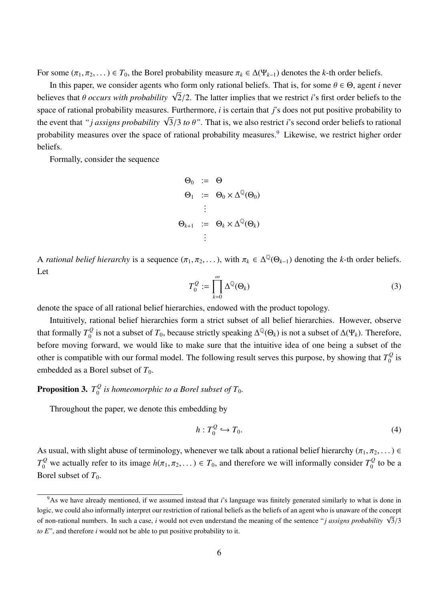For some  $(\pi_1, \pi_2, ...) \in T_0$ , the Borel probability measure  $\pi_k \in \Delta(\Psi_{k-1})$  denotes the *k*-th order beliefs.

In this paper, we consider agents who form only rational beliefs. That is, for some  $\theta \in \Theta$ , agent *i* never th this paper, we consider agents who form only rational beliefs. That is, for some  $b \in \Theta$ , agent *i* hever<br>believes that *θ occurs with probability*  $\sqrt{2}/2$ . The latter implies that we restrict *i*'s first order belie space of rational probability measures. Furthermore, *i* is certain that *j*'s does not put positive probability to the event that *" j assigns probability*  $\sqrt{3}/3$  *to*  $\theta$ ". That is, we also restrict *i*'s second order beliefs to rational probability measures over the space of rational probability measures.<sup>9</sup> Likewise, we restrict higher order beliefs.

Formally, consider the sequence

$$
\Theta_0 := \Theta
$$
  
\n
$$
\Theta_1 := \Theta_0 \times \Delta^{\mathbb{Q}}(\Theta_0)
$$
  
\n
$$
\vdots
$$
  
\n
$$
\Theta_{k+1} := \Theta_k \times \Delta^{\mathbb{Q}}(\Theta_k)
$$
  
\n
$$
\vdots
$$

A *rational belief hierarchy* is a sequence  $(\pi_1, \pi_2, \dots)$ , with  $\pi_k \in \Delta^{\mathbb{Q}}(\Theta_{k-1})$  denoting the *k*-th order beliefs. Let

$$
T_0^Q := \prod_{k=0}^{\infty} \Delta^{\mathbb{Q}}(\Theta_k)
$$
 (3)

denote the space of all rational belief hierarchies, endowed with the product topology.

Intuitively, rational belief hierarchies form a strict subset of all belief hierarchies. However, observe that formally  $T_0^Q$  $\int_0^Q$  is not a subset of *T*<sub>0</sub>, because strictly speaking  $\Delta^{\mathbb{Q}}(\Theta_k)$  is not a subset of  $\Delta(\Psi_k)$ . Therefore, before moving forward, we would like to make sure that the intuitive idea of one being a subset of the other is compatible with our formal model. The following result serves this purpose, by showing that  $T_0^Q$  $\int_{0}^{Q}$  is embedded as a Borel subset of  $T_0$ .

**Proposition 3.**  $T_0^Q$  $\int_{0}^{Q}$  is homeomorphic to a Borel subset of T<sub>0</sub>.

Throughout the paper, we denote this embedding by

$$
h: T_0^Q \hookrightarrow T_0. \tag{4}
$$

As usual, with slight abuse of terminology, whenever we talk about a rational belief hierarchy  $(\pi_1, \pi_2, ...)$ *T*<sup>Q</sup> we actually refer to its image  $h(\pi_1, \pi_2, ...) \in T_0$ , and therefore we will informally consider  $T_0^Q$  $\int_0^Q$  to be a Borel subset of  $T_0$ .

<sup>&</sup>lt;sup>9</sup>As we have already mentioned, if we assumed instead that *i*'s language was finitely generated similarly to what is done in logic, we could also informally interpret our restriction of rational beliefs as the beliefs of an agent who is unaware of the concept of non-rational numbers. In such a case, *i* would not even understand the meaning of the sentence "*j assigns probability*  $\sqrt{3}/3$ *to E*", and therefore *i* would not be able to put positive probability to it.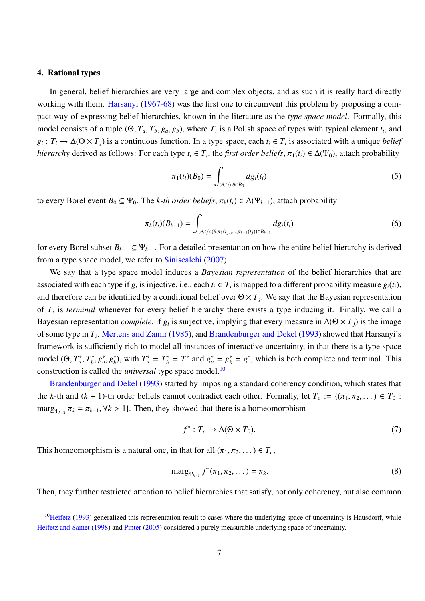### 4. Rational types

In general, belief hierarchies are very large and complex objects, and as such it is really hard directly working with them. Harsanyi (1967-68) was the first one to circumvent this problem by proposing a compact way of expressing belief hierarchies, known in the literature as the *type space model*. Formally, this model consists of a tuple  $(\Theta, T_a, T_b, g_a, g_b)$ , where  $T_i$  is a Polish space of types with typical element  $t_i$ , and  $g_i: T_i \to \Delta(\Theta \times T_j)$  is a continuous function. In a type space, each  $t_i \in T_i$  is associated with a unique *belief hierarchy* derived as follows: For each type  $t_i \in T_i$ , the *first order beliefs*,  $\pi_1(t_i) \in \Delta(\Psi_0)$ , attach probability

$$
\pi_1(t_i)(B_0) = \int_{(\theta,t_j):\theta \in B_0} dg_i(t_i)
$$
\n(5)

to every Borel event  $B_0 \subseteq \Psi_0$ . The *k-th order beliefs*,  $\pi_k(t_i) \in \Delta(\Psi_{k-1})$ , attach probability

$$
\pi_k(t_i)(B_{k-1}) = \int_{(\theta,t_j):(\theta,\pi_1(t_j),\ldots,\pi_{k-1}(t_j))\in B_{k-1}} dg_i(t_i)
$$
\n(6)

for every Borel subset  $B_{k-1} \subseteq \Psi_{k-1}$ . For a detailed presentation on how the entire belief hierarchy is derived from a type space model, we refer to Siniscalchi (2007).

We say that a type space model induces a *Bayesian representation* of the belief hierarchies that are associated with each type if  $g_i$  is injective, i.e., each  $t_i \in T_i$  is mapped to a different probability measure  $g_i(t_i)$ , and therefore can be identified by a conditional belief over  $\Theta \times T_j$ . We say that the Bayesian representation of *T<sup>i</sup>* is *terminal* whenever for every belief hierarchy there exists a type inducing it. Finally, we call a Bayesian representation *complete*, if  $g_i$  is surjective, implying that every measure in  $\Delta(\Theta \times T_j)$  is the image of some type in *T<sup>i</sup>* . Mertens and Zamir (1985), and Brandenburger and Dekel (1993) showed that Harsanyi's framework is sufficiently rich to model all instances of interactive uncertainty, in that there is a type space model  $(\Theta, T_a^*, T_b^*)$ *b* , *g* ∗ *a* , *g* ∗ <sup>\*</sup><sub>b</sub>), with  $T_a^* = T_b^* = T^*$  and  $g_a^* = g_b^* = g^*$ , which is both complete and terminal. This construction is called the *universal* type space model.<sup>10</sup>

Brandenburger and Dekel (1993) started by imposing a standard coherency condition, which states that the *k*-th and  $(k + 1)$ -th order beliefs cannot contradict each other. Formally, let  $T_c := \{(\pi_1, \pi_2, \dots) \in T_0 :$  $\max_{\Psi_{k-2}} \pi_k = \pi_{k-1}, \forall k > 1$ . Then, they showed that there is a homeomorphism

$$
f^*: T_c \to \Delta(\Theta \times T_0). \tag{7}
$$

This homeomorphism is a natural one, in that for all  $(\pi_1, \pi_2, ...) \in T_c$ ,

$$
\text{marg}_{\Psi_{k-1}} f^*(\pi_1, \pi_2, \dots) = \pi_k. \tag{8}
$$

Then, they further restricted attention to belief hierarchies that satisfy, not only coherency, but also common

 $10$ Heifetz (1993) generalized this representation result to cases where the underlying space of uncertainty is Hausdorff, while Heifetz and Samet (1998) and Pinter (2005) considered a purely measurable underlying space of uncertainty.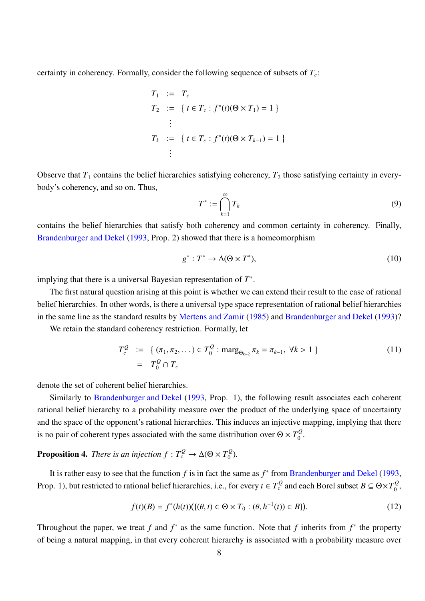certainty in coherency. Formally, consider the following sequence of subsets of *T<sup>c</sup>* :

$$
T_1 := T_c
$$
  
\n
$$
T_2 := \{ t \in T_c : f^*(t)(\Theta \times T_1) = 1 \}
$$
  
\n
$$
\vdots
$$
  
\n
$$
T_k := \{ t \in T_c : f^*(t)(\Theta \times T_{k-1}) = 1 \}
$$
  
\n
$$
\vdots
$$

Observe that  $T_1$  contains the belief hierarchies satisfying coherency,  $T_2$  those satisfying certainty in everybody's coherency, and so on. Thus,

$$
T^* := \bigcap_{k=1}^{\infty} T_k \tag{9}
$$

contains the belief hierarchies that satisfy both coherency and common certainty in coherency. Finally, Brandenburger and Dekel (1993, Prop. 2) showed that there is a homeomorphism

$$
g^*: T^* \to \Delta(\Theta \times T^*),\tag{10}
$$

implying that there is a universal Bayesian representation of *T* ∗ .

The first natural question arising at this point is whether we can extend their result to the case of rational belief hierarchies. In other words, is there a universal type space representation of rational belief hierarchies in the same line as the standard results by Mertens and Zamir (1985) and Brandenburger and Dekel (1993)?

We retain the standard coherency restriction. Formally, let

$$
T_c^Q := \{ (\pi_1, \pi_2, \dots) \in T_0^Q : \text{marg}_{\Theta_{k-2}} \pi_k = \pi_{k-1}, \ \forall k > 1 \}
$$
\n
$$
= T_0^Q \cap T_c
$$
\n(11)

denote the set of coherent belief hierarchies.

Similarly to Brandenburger and Dekel (1993, Prop. 1), the following result associates each coherent rational belief hierarchy to a probability measure over the product of the underlying space of uncertainty and the space of the opponent's rational hierarchies. This induces an injective mapping, implying that there is no pair of coherent types associated with the same distribution over  $\Theta \times T_0^Q$  $\frac{Q}{0}$ .

**Proposition 4.** *There is an injection*  $f: T_c^Q \to \Delta(\Theta \times T_0^Q)$  $\binom{Q}{0}$ .

It is rather easy to see that the function  $f$  is in fact the same as  $f^*$  from Brandenburger and Dekel (1993, Prop. 1), but restricted to rational belief hierarchies, i.e., for every  $t \in T_c^Q$  and each Borel subset  $B \subseteq \Theta \times T_Q^Q$  $\frac{Q}{0}$ 

$$
f(t)(B) = f^*(h(t))(\{(\theta, t) \in \Theta \times T_0 : (\theta, h^{-1}(t)) \in B\}).
$$
\n(12)

Throughout the paper, we treat *f* and  $f^*$  as the same function. Note that *f* inherits from  $f^*$  the property of being a natural mapping, in that every coherent hierarchy is associated with a probability measure over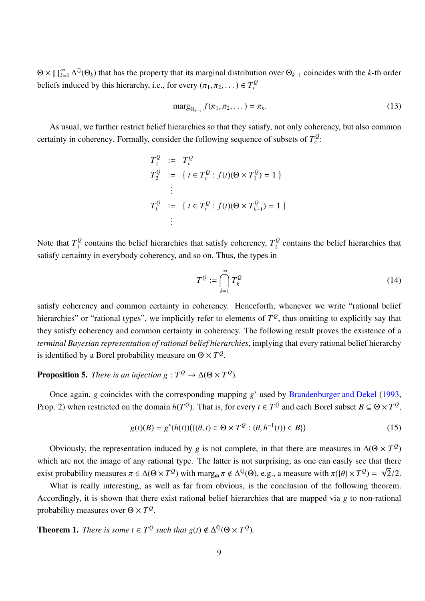$\Theta \times \prod_{k=0}^{\infty} \Delta^{\mathbb{Q}}(\Theta_k)$  that has the property that its marginal distribution over  $\Theta_{k-1}$  coincides with the *k*-th order beliefs induced by this hierarchy, i.e., for every  $(\pi_1, \pi_2, ...) \in T_c^Q$ 

$$
\operatorname{marg}_{\Theta_{k-1}} f(\pi_1, \pi_2, \dots) = \pi_k. \tag{13}
$$

As usual, we further restrict belief hierarchies so that they satisfy, not only coherency, but also common certainty in coherency. Formally, consider the following sequence of subsets of  $T_c^Q$ :

$$
T_1^Q := T_c^Q
$$
  
\n
$$
T_2^Q := \{ t \in T_c^Q : f(t)(\Theta \times T_1^Q) = 1 \}
$$
  
\n
$$
\vdots
$$
  
\n
$$
T_k^Q := \{ t \in T_c^Q : f(t)(\Theta \times T_{k-1}^Q) = 1 \}
$$
  
\n
$$
\vdots
$$

Note that  $T_1^Q$  $T_1^Q$  contains the belief hierarchies that satisfy coherency,  $T_2^Q$  $\frac{2}{2}$  contains the belief hierarchies that satisfy certainty in everybody coherency, and so on. Thus, the types in

$$
T^{\mathcal{Q}} := \bigcap_{k=1}^{\infty} T_k^{\mathcal{Q}}
$$
 (14)

satisfy coherency and common certainty in coherency. Henceforth, whenever we write "rational belief hierarchies" or "rational types", we implicitly refer to elements of  $T<sup>Q</sup>$ , thus omitting to explicitly say that they satisfy coherency and common certainty in coherency. The following result proves the existence of a *terminal Bayesian representation of rational belief hierarchies*, implying that every rational belief hierarchy is identified by a Borel probability measure on  $\Theta \times T^{\mathcal{Q}}$ .

**Proposition 5.** *There is an injection g* :  $T^Q \to \Delta(\Theta \times T^Q)$ *.* 

Once again, *g* coincides with the corresponding mapping *g* <sup>∗</sup> used by Brandenburger and Dekel (1993, Prop. 2) when restricted on the domain  $h(T^Q)$ . That is, for every  $t \in T^Q$  and each Borel subset  $B \subseteq \Theta \times T^Q$ ,

$$
g(t)(B) = g^*(h(t))(\{(\theta, t) \in \Theta \times T^Q : (\theta, h^{-1}(t)) \in B\}).
$$
\n(15)

Obviously, the representation induced by *g* is not complete, in that there are measures in  $\Delta(\Theta \times T^Q)$ which are not the image of any rational type. The latter is not surprising, as one can easily see that there exist probability measures  $\pi \in \Delta(\Theta \times T^Q)$  with marg<sub> $\Theta$ </sub>  $\pi \notin \Delta^{\mathbb{Q}}(\Theta)$ , e.g., a measure with  $\pi(\{\theta\} \times T^Q) = \sqrt{2}/2$ .

What is really interesting, as well as far from obvious, is the conclusion of the following theorem. Accordingly, it is shown that there exist rational belief hierarchies that are mapped via *g* to non-rational probability measures over  $\Theta \times T^{\mathcal{Q}}$ .

**Theorem 1.** *There is some t*  $\in T^Q$  *such that*  $g(t) \notin \Delta^Q(\Theta \times T^Q)$ *.*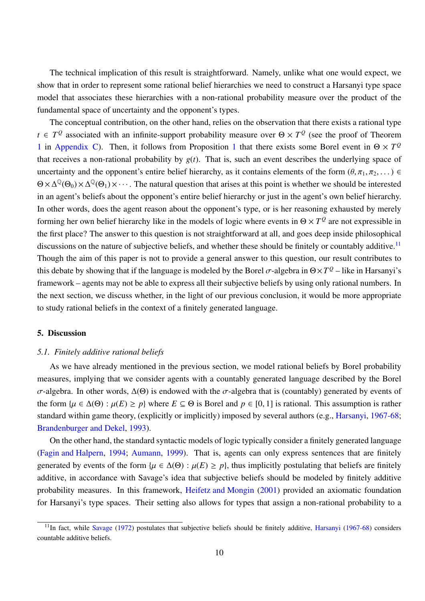The technical implication of this result is straightforward. Namely, unlike what one would expect, we show that in order to represent some rational belief hierarchies we need to construct a Harsanyi type space model that associates these hierarchies with a non-rational probability measure over the product of the fundamental space of uncertainty and the opponent's types.

The conceptual contribution, on the other hand, relies on the observation that there exists a rational type  $t \in T^{\mathcal{Q}}$  associated with an infinite-support probability measure over  $\Theta \times T^{\mathcal{Q}}$  (see the proof of Theorem 1 in Appendix C). Then, it follows from Proposition 1 that there exists some Borel event in  $\Theta \times T^{\mathcal{Q}}$ that receives a non-rational probability by  $g(t)$ . That is, such an event describes the underlying space of uncertainty and the opponent's entire belief hierarchy, as it contains elements of the form  $(\theta, \pi_1, \pi_2, ...)$  $\Theta \times \Delta^{\mathbb{Q}}(\Theta_0) \times \Delta^{\mathbb{Q}}(\Theta_1) \times \cdots$ . The natural question that arises at this point is whether we should be interested in an agent's beliefs about the opponent's entire belief hierarchy or just in the agent's own belief hierarchy. In other words, does the agent reason about the opponent's type, or is her reasoning exhausted by merely forming her own belief hierarchy like in the models of logic where events in  $\Theta \times T^Q$  are not expressible in the first place? The answer to this question is not straightforward at all, and goes deep inside philosophical discussions on the nature of subjective beliefs, and whether these should be finitely or countably additive.<sup>11</sup> Though the aim of this paper is not to provide a general answer to this question, our result contributes to this debate by showing that if the language is modeled by the Borel  $\sigma$ -algebra in  $\Theta \times T^Q$  – like in Harsanyi's framework – agents may not be able to express all their subjective beliefs by using only rational numbers. In the next section, we discuss whether, in the light of our previous conclusion, it would be more appropriate to study rational beliefs in the context of a finitely generated language.

# 5. Discussion

# *5.1. Finitely additive rational beliefs*

As we have already mentioned in the previous section, we model rational beliefs by Borel probability measures, implying that we consider agents with a countably generated language described by the Borel σ-algebra. In other words, ∆(Θ) is endowed with the σ-algebra that is (countably) generated by events of the form  $\{\mu \in \Delta(\Theta) : \mu(E) \geq p\}$  where  $E \subseteq \Theta$  is Borel and  $p \in [0, 1]$  is rational. This assumption is rather standard within game theory, (explicitly or implicitly) imposed by several authors (e.g., Harsanyi, 1967-68; Brandenburger and Dekel, 1993).

On the other hand, the standard syntactic models of logic typically consider a finitely generated language (Fagin and Halpern, 1994; Aumann, 1999). That is, agents can only express sentences that are finitely generated by events of the form { $\mu \in \Delta(\Theta)$  :  $\mu(E) \geq p$ }, thus implicitly postulating that beliefs are finitely additive, in accordance with Savage's idea that subjective beliefs should be modeled by finitely additive probability measures. In this framework, Heifetz and Mongin (2001) provided an axiomatic foundation for Harsanyi's type spaces. Their setting also allows for types that assign a non-rational probability to a

 $11$ In fact, while Savage (1972) postulates that subjective beliefs should be finitely additive, Harsanyi (1967-68) considers countable additive beliefs.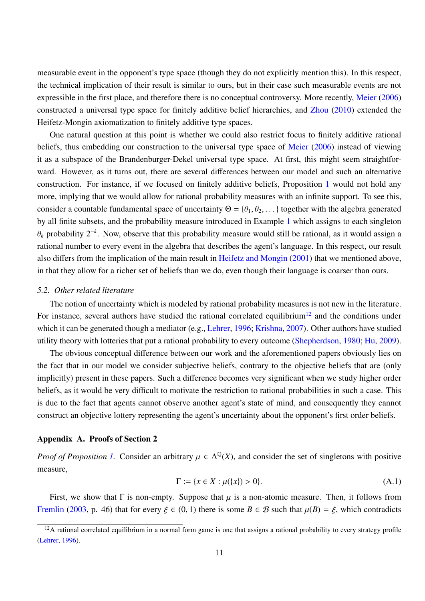measurable event in the opponent's type space (though they do not explicitly mention this). In this respect, the technical implication of their result is similar to ours, but in their case such measurable events are not expressible in the first place, and therefore there is no conceptual controversy. More recently, Meier (2006) constructed a universal type space for finitely additive belief hierarchies, and Zhou (2010) extended the Heifetz-Mongin axiomatization to finitely additive type spaces.

One natural question at this point is whether we could also restrict focus to finitely additive rational beliefs, thus embedding our construction to the universal type space of Meier (2006) instead of viewing it as a subspace of the Brandenburger-Dekel universal type space. At first, this might seem straightforward. However, as it turns out, there are several differences between our model and such an alternative construction. For instance, if we focused on finitely additive beliefs, Proposition 1 would not hold any more, implying that we would allow for rational probability measures with an infinite support. To see this, consider a countable fundamental space of uncertainty  $\Theta = \{\theta_1, \theta_2, \dots\}$  together with the algebra generated by all finite subsets, and the probability measure introduced in Example 1 which assigns to each singleton θ*<sup>k</sup>* probability 2<sup>−</sup>*<sup>k</sup>* . Now, observe that this probability measure would still be rational, as it would assign a rational number to every event in the algebra that describes the agent's language. In this respect, our result also differs from the implication of the main result in Heifetz and Mongin (2001) that we mentioned above, in that they allow for a richer set of beliefs than we do, even though their language is coarser than ours.

### *5.2. Other related literature*

The notion of uncertainty which is modeled by rational probability measures is not new in the literature. For instance, several authors have studied the rational correlated equilibrium<sup>12</sup> and the conditions under which it can be generated though a mediator (e.g., Lehrer, 1996; Krishna, 2007). Other authors have studied utility theory with lotteries that put a rational probability to every outcome (Shepherdson, 1980; Hu, 2009).

The obvious conceptual difference between our work and the aforementioned papers obviously lies on the fact that in our model we consider subjective beliefs, contrary to the objective beliefs that are (only implicitly) present in these papers. Such a difference becomes very significant when we study higher order beliefs, as it would be very difficult to motivate the restriction to rational probabilities in such a case. This is due to the fact that agents cannot observe another agent's state of mind, and consequently they cannot construct an objective lottery representing the agent's uncertainty about the opponent's first order beliefs.

### Appendix A. Proofs of Section 2

*Proof of Proposition 1.* Consider an arbitrary  $\mu \in \Delta^{\mathbb{Q}}(X)$ , and consider the set of singletons with positive measure,

$$
\Gamma := \{ x \in X : \mu(\{x\}) > 0 \}. \tag{A.1}
$$

First, we show that  $\Gamma$  is non-empty. Suppose that  $\mu$  is a non-atomic measure. Then, it follows from Fremlin (2003, p. 46) that for every  $\xi \in (0, 1)$  there is some  $B \in \mathcal{B}$  such that  $\mu(B) = \xi$ , which contradicts

 $12A$  rational correlated equilibrium in a normal form game is one that assigns a rational probability to every strategy profile (Lehrer, 1996).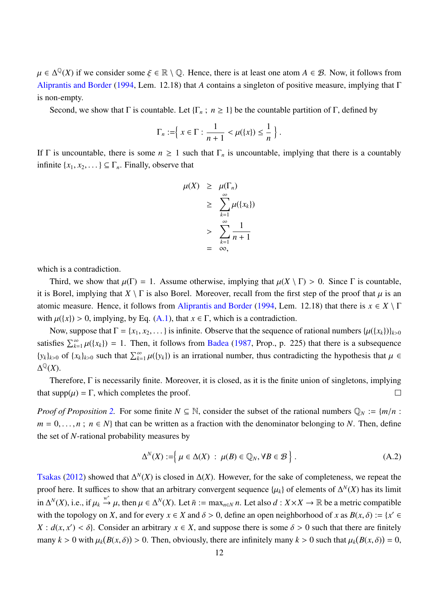$\mu \in \Delta^{\mathbb{Q}}(X)$  if we consider some  $\xi \in \mathbb{R} \setminus \mathbb{Q}$ . Hence, there is at least one atom  $A \in \mathcal{B}$ . Now, it follows from Aliprantis and Border (1994, Lem. 12.18) that *A* contains a singleton of positive measure, implying that Γ is non-empty.

Second, we show that  $\Gamma$  is countable. Let  $\{\Gamma_n : n \geq 1\}$  be the countable partition of  $\Gamma$ , defined by

$$
\Gamma_n := \left\{ x \in \Gamma : \frac{1}{n+1} < \mu(\{x\}) \leq \frac{1}{n} \right\}.
$$

If  $\Gamma$  is uncountable, there is some  $n \geq 1$  such that  $\Gamma_n$  is uncountable, implying that there is a countably infinite  $\{x_1, x_2, \dots\} \subseteq \Gamma_n$ . Finally, observe that

$$
\mu(X) \geq \mu(\Gamma_n)
$$
  
\n
$$
\geq \sum_{k=1}^{\infty} \mu(\lbrace x_k \rbrace)
$$
  
\n
$$
> \sum_{k=1}^{\infty} \frac{1}{n+1}
$$
  
\n
$$
= \infty,
$$

which is a contradiction.

Third, we show that  $\mu(\Gamma) = 1$ . Assume otherwise, implying that  $\mu(X \setminus \Gamma) > 0$ . Since  $\Gamma$  is countable, it is Borel, implying that  $X \setminus \Gamma$  is also Borel. Moreover, recall from the first step of the proof that  $\mu$  is an atomic measure. Hence, it follows from Aliprantis and Border (1994, Lem. 12.18) that there is  $x \in X \setminus \Gamma$ with  $\mu({x}) > 0$ , implying, by Eq. (A.1), that  $x \in \Gamma$ , which is a contradiction.

Now, suppose that  $\Gamma = \{x_1, x_2, \dots\}$  is infinite. Observe that the sequence of rational numbers  $\{\mu(\{x_k\})\}_{k>0}$ satisfies  $\sum_{k=1}^{\infty} \mu({x_k}) = 1$ . Then, it follows from Badea (1987, Prop., p. 225) that there is a subsequence  ${y_k}_{k>0}$  of  ${x_k}_{k>0}$  such that  $\sum_{k=1}^{\infty} \mu({y_k})$  is an irrational number, thus contradicting the hypothesis that  $\mu \in$  $\Delta^\mathbb{Q}(X).$ 

Therefore, Γ is necessarily finite. Moreover, it is closed, as it is the finite union of singletons, implying that  $supp(\mu) = \Gamma$ , which completes the proof.  $\Box$ 

*Proof of Proposition* 2. For some finite  $N \subseteq \mathbb{N}$ , consider the subset of the rational numbers  $\mathbb{Q}_N := \{m/n :$  $m = 0, \ldots, n$ ;  $n \in N$  that can be written as a fraction with the denominator belonging to *N*. Then, define the set of *N*-rational probability measures by

$$
\Delta^N(X) := \left\{ \mu \in \Delta(X) \; : \; \mu(B) \in \mathbb{Q}_N, \forall B \in \mathcal{B} \right\}.
$$
 (A.2)

Tsakas (2012) showed that  $\Delta^N(X)$  is closed in  $\Delta(X)$ . However, for the sake of completeness, we repeat the proof here. It suffices to show that an arbitrary convergent sequence  $\{\mu_k\}$  of elements of  $\Delta^N(X)$  has its limit  $\lim_{n \to \infty} \Delta^N(X)$ , i.e., if  $\mu_k \stackrel{w^*}{\to} \mu$ , then  $\mu \in \Delta^N(X)$ . Let  $\bar{n} := \max_{n \in \mathbb{N}} n$ . Let also *d* : *X*×*X* → R be a metric compatible with the topology on *X*, and for every  $x \in X$  and  $\delta > 0$ , define an open neighborhood of *x* as  $B(x, \delta) := \{x' \in X\}$  $X : d(x, x') < \delta$ . Consider an arbitrary  $x \in X$ , and suppose there is some  $\delta > 0$  such that there are finitely many  $k > 0$  with  $\mu_k(B(x, \delta)) > 0$ . Then, obviously, there are infinitely many  $k > 0$  such that  $\mu_k(B(x, \delta)) = 0$ ,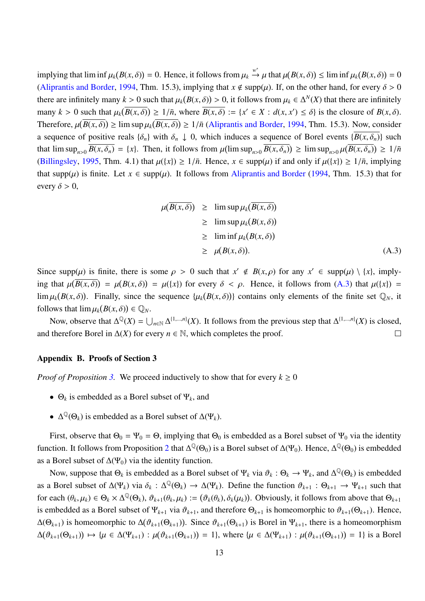implying that  $\liminf \mu_k(B(x,\delta)) = 0$ . Hence, it follows from  $\mu_k \stackrel{w^*}{\to} \mu$  that  $\mu(B(x,\delta)) \leq \liminf \mu_k(B(x,\delta)) = 0$ (Aliprantis and Border, 1994, Thm. 15.3), implying that  $x \notin \text{supp}(\mu)$ . If, on the other hand, for every  $\delta > 0$ there are infinitely many  $k > 0$  such that  $\mu_k(B(x, \delta)) > 0$ , it follows from  $\mu_k \in \Delta^N(X)$  that there are infinitely many  $k > 0$  such that  $\mu_k(\overline{B(x, \delta)}) \ge 1/\overline{n}$ , where  $\overline{B(x, \delta)} := \{x' \in X : d(x, x') \le \delta\}$  is the closure of  $B(x, \delta)$ . Therefore,  $\mu(\overline{B(x,\delta)}) \ge \limsup \mu_k(\overline{B(x,\delta)}) \ge 1/\overline{n}$  (Aliprantis and Border, 1994, Thm. 15.3). Now, consider a sequence of positive reals  $\{\delta_n\}$  with  $\delta_n \downarrow 0$ , which induces a sequence of Borel events  $\{\overline{B(x, \delta_n)}\}$  such that  $\limsup_{n>0} \overline{B(x, \delta_n)} = \{x\}$ . Then, it follows from  $\mu(\limsup_{n>0} \overline{B(x, \delta_n)}) \geq \limsup_{n>0} \mu(\overline{B(x, \delta_n)}) \geq 1/\overline{n}$ (Billingsley, 1995, Thm. 4.1) that  $\mu({x}) \ge 1/\bar{n}$ . Hence,  $x \in \text{supp}(\mu)$  if and only if  $\mu({x}) \ge 1/\bar{n}$ , implying that supp( $\mu$ ) is finite. Let  $x \in \text{supp}(\mu)$ . It follows from Aliprantis and Border (1994, Thm. 15.3) that for every  $\delta > 0$ ,

$$
\mu(\overline{B(x,\delta)}) \geq \limsup \mu_k(\overline{B(x,\delta)})
$$
  
\n
$$
\geq \limsup \mu_k(B(x,\delta))
$$
  
\n
$$
\geq \liminf \mu_k(B(x,\delta))
$$
  
\n
$$
\geq \mu(B(x,\delta)).
$$
 (A.3)

Since supp $(\mu)$  is finite, there is some  $\rho > 0$  such that  $x' \notin B(x, \rho)$  for any  $x' \in \text{supp}(\mu) \setminus \{x\}$ , implying that  $\mu(\overline{B(x,\delta)}) = \mu(B(x,\delta)) = \mu(\lbrace x \rbrace)$  for every  $\delta < \rho$ . Hence, it follows from (A.3) that  $\mu(\lbrace x \rbrace) =$  $\lim \mu_k(B(x,\delta))$ . Finally, since the sequence  $\{\mu_k(B(x,\delta))\}$  contains only elements of the finite set  $\mathbb{Q}_N$ , it follows that  $\lim \mu_k(B(x,\delta)) \in \mathbb{Q}_N$ .

Now, observe that  $\Delta^{\mathbb{Q}}(X) = \bigcup_{n \in \mathbb{N}} \Delta^{\{1,\dots,n\}}(X)$ . It follows from the previous step that  $\Delta^{\{1,\dots,n\}}(X)$  is closed, and therefore Borel in  $\Delta(X)$  for every  $n \in \mathbb{N}$ , which completes the proof.  $\Box$ 

### Appendix B. Proofs of Section 3

*Proof of Proposition* 3. We proceed inductively to show that for every  $k \geq 0$ 

- $\Theta_k$  is embedded as a Borel subset of  $\Psi_k$ , and
- $\Delta^{\mathbb{Q}}(\Theta_k)$  is embedded as a Borel subset of  $\Delta(\Psi_k)$ .

First, observe that  $\Theta_0 = \Psi_0 = \Theta$ , implying that  $\Theta_0$  is embedded as a Borel subset of  $\Psi_0$  via the identity function. It follows from Proposition 2 that  $\Delta^{{\mathbb Q}}(\Theta_0)$  is a Borel subset of  $\Delta(\Psi_0)$ . Hence,  $\Delta^{{\mathbb Q}}(\Theta_0)$  is embedded as a Borel subset of  $\Delta(\Psi_0)$  via the identity function.

Now, suppose that  $\Theta_k$  is embedded as a Borel subset of  $\Psi_k$  via  $\vartheta_k : \Theta_k \to \Psi_k$ , and  $\Delta^{\mathbb{Q}}(\Theta_k)$  is embedded as a Borel subset of  $\Delta(\Psi_k)$  via  $\delta_k$ :  $\Delta^{\mathbb{Q}}(\Theta_k) \to \Delta(\Psi_k)$ . Define the function  $\vartheta_{k+1} : \Theta_{k+1} \to \Psi_{k+1}$  such that for each  $(\theta_k, \mu_k) \in \Theta_k \times \Delta^{\mathbb{Q}}(\Theta_k)$ ,  $\vartheta_{k+1}(\theta_k, \mu_k) := (\vartheta_k(\theta_k), \delta_k(\mu_k))$ . Obviously, it follows from above that  $\Theta_{k+1}$ is embedded as a Borel subset of  $\Psi_{k+1}$  via  $\vartheta_{k+1}$ , and therefore  $\Theta_{k+1}$  is homeomorphic to  $\vartheta_{k+1}(\Theta_{k+1})$ . Hence,  $\Delta(\Theta_{k+1})$  is homeomorphic to  $\Delta(\vartheta_{k+1}(\Theta_{k+1}))$ . Since  $\vartheta_{k+1}(\Theta_{k+1})$  is Borel in  $\Psi_{k+1}$ , there is a homeomorphism  $\Delta(\vartheta_{k+1}(\Theta_{k+1})) \mapsto {\mu \in \Delta(\Psi_{k+1}) : \mu(\vartheta_{k+1}(\Theta_{k+1})) = 1},$  where  ${\mu \in \Delta(\Psi_{k+1}) : \mu(\vartheta_{k+1}(\Theta_{k+1})) = 1}$  is a Borel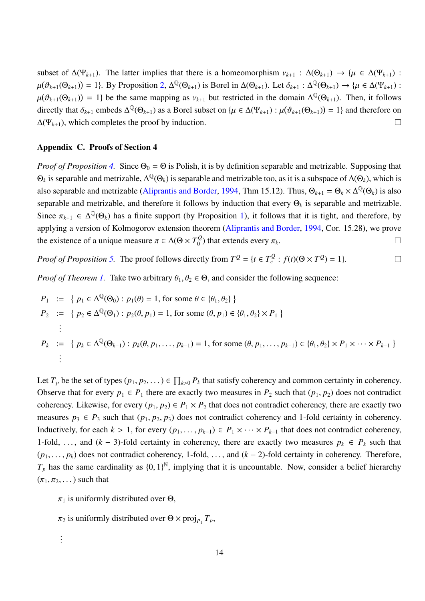subset of  $\Delta(\Psi_{k+1})$ . The latter implies that there is a homeomorphism  $v_{k+1} : \Delta(\Theta_{k+1}) \to \{\mu \in \Delta(\Psi_{k+1}) : \lambda \in \Delta(\Psi_{k+1})\}$  $\mu(\vartheta_{k+1}(\Theta_{k+1})) = 1$ . By Proposition 2,  $\Delta^{\mathbb{Q}}(\Theta_{k+1})$  is Borel in  $\Delta(\Theta_{k+1})$ . Let  $\delta_{k+1} : \Delta^{\mathbb{Q}}(\Theta_{k+1}) \to \{\mu \in \Delta(\Psi_{k+1}) : \lambda \in \Delta(\Psi_{k+1})\}$  $\mu(\vartheta_{k+1}(\Theta_{k+1})) = 1$  be the same mapping as  $v_{k+1}$  but restricted in the domain  $\Delta^{\mathbb{Q}}(\Theta_{k+1})$ . Then, it follows directly that  $\delta_{k+1}$  embeds  $\Delta^{\mathbb{Q}}(\Theta_{k+1})$  as a Borel subset on  $\{\mu \in \Delta(\Psi_{k+1}) : \mu(\vartheta_{k+1}(\Theta_{k+1})) = 1\}$  and therefore on  $\Delta(\Psi_{k+1})$ , which completes the proof by induction.  $\Box$ 

#### Appendix C. Proofs of Section 4

*Proof of Proposition* 4. Since  $\Theta_0 = \Theta$  is Polish, it is by definition separable and metrizable. Supposing that  $\Theta_k$  is separable and metrizable,  $\Delta^{\mathbb{Q}}(\Theta_k)$  is separable and metrizable too, as it is a subspace of  $\Delta(\Theta_k)$ , which is also separable and metrizable (Aliprantis and Border, 1994, Thm 15.12). Thus,  $\Theta_{k+1} = \Theta_k \times \Delta^{\mathbb{Q}}(\Theta_k)$  is also separable and metrizable, and therefore it follows by induction that every Θ*<sup>k</sup>* is separable and metrizable. Since  $\pi_{k+1} \in \Delta^{\mathbb{Q}}(\Theta_k)$  has a finite support (by Proposition 1), it follows that it is tight, and therefore, by applying a version of Kolmogorov extension theorem (Aliprantis and Border, 1994, Cor. 15.28), we prove the existence of a unique measure  $\pi \in \Delta(\Theta \times T_0^Q)$  $\sigma_0^{\text{Q}}$ ) that extends every  $\pi_k$ .  $\Box$ 

*Proof of Proposition* 5. The proof follows directly from  $T^Q = \{t \in T_c^Q : f(t)(\Theta \times T^Q) = 1\}.$  $\Box$ 

*Proof of Theorem 1.* Take two arbitrary  $\theta_1, \theta_2 \in \Theta$ , and consider the following sequence:

$$
P_1 := \{ p_1 \in \Delta^{\mathbb{Q}}(\Theta_0) : p_1(\theta) = 1, \text{ for some } \theta \in \{\theta_1, \theta_2\} \}
$$
  
\n
$$
P_2 := \{ p_2 \in \Delta^{\mathbb{Q}}(\Theta_1) : p_2(\theta, p_1) = 1, \text{ for some } (\theta, p_1) \in \{\theta_1, \theta_2\} \times P_1 \}
$$
  
\n
$$
\vdots
$$
  
\n
$$
P_k := \{ p_k \in \Delta^{\mathbb{Q}}(\Theta_{k-1}) : p_k(\theta, p_1, \dots, p_{k-1}) = 1, \text{ for some } (\theta, p_1, \dots, p_{k-1}) \in \{\theta_1, \theta_2\} \times P_1 \times \dots \times P_{k-1} \}
$$
  
\n
$$
\vdots
$$

Let  $T_p$  be the set of types  $(p_1, p_2, ...) \in \prod_{k>0} P_k$  that satisfy coherency and common certainty in coherency. Observe that for every  $p_1 \in P_1$  there are exactly two measures in  $P_2$  such that  $(p_1, p_2)$  does not contradict coherency. Likewise, for every  $(p_1, p_2) \in P_1 \times P_2$  that does not contradict coherency, there are exactly two measures  $p_3 \in P_3$  such that  $(p_1, p_2, p_3)$  does not contradict coherency and 1-fold certainty in coherency. Inductively, for each  $k > 1$ , for every  $(p_1, \ldots, p_{k-1}) \in P_1 \times \cdots \times P_{k-1}$  that does not contradict coherency, 1-fold, ..., and  $(k - 3)$ -fold certainty in coherency, there are exactly two measures  $p_k \in P_k$  such that (*p*1, . . . , *pk*) does not contradict coherency, 1-fold, . . . , and (*k* − 2)-fold certainty in coherency. Therefore,  $T_p$  has the same cardinality as  $\{0, 1\}^{\mathbb{N}}$ , implying that it is uncountable. Now, consider a belief hierarchy  $(\pi_1, \pi_2, \dots)$  such that

 $\pi_1$  is uniformly distributed over  $\Theta$ ,

 $\pi_2$  is uniformly distributed over  $\Theta \times \text{proj}_{P_1} T_p$ ,

. . .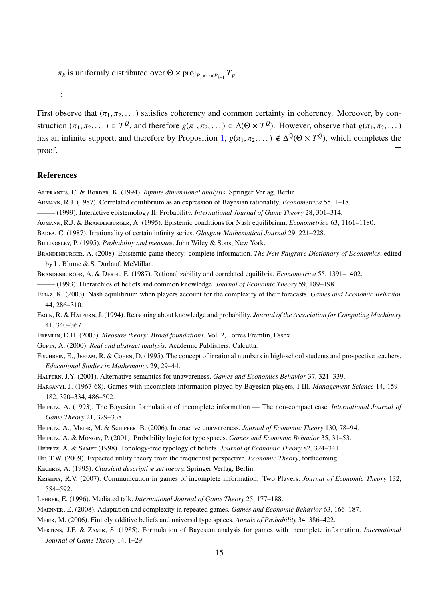$\pi_k$  is uniformly distributed over  $\Theta \times \text{proj}_{P_1 \times \dots \times P_{k-1}} T_p$ 

. . .

First observe that  $(\pi_1, \pi_2, ...)$  satisfies coherency and common certainty in coherency. Moreover, by construction  $(\pi_1, \pi_2, \dots) \in T^{\mathcal{Q}}$ , and therefore  $g(\pi_1, \pi_2, \dots) \in \Delta(\Theta \times T^{\mathcal{Q}})$ . However, observe that  $g(\pi_1, \pi_2, \dots)$ has an infinite support, and therefore by Proposition 1,  $g(\pi_1, \pi_2, ...) \notin \Delta^{\mathbb{Q}}(\Theta \times T^{\mathcal{Q}})$ , which completes the proof.  $\Box$ 

### References

Aliprantis, C. & Border, K. (1994). *Infinite dimensional analysis*. Springer Verlag, Berlin.

Aumann, R.J. (1987). Correlated equilibrium as an expression of Bayesian rationality. *Econometrica* 55, 1–18.

——– (1999). Interactive epistemology II: Probability. *International Journal of Game Theory* 28, 301–314.

- Aumann, R.J. & Brandenburger, A. (1995). Epistemic conditions for Nash equilibrium. *Econometrica* 63, 1161–1180.
- Badea, C. (1987). Irrationality of certain infinity series. *Glasgow Mathematical Journal* 29, 221–228.

Billingsley, P. (1995). *Probability and measure*. John Wiley & Sons, New York.

Brandenburger, A. (2008). Epistemic game theory: complete information. *The New Palgrave Dictionary of Economics*, edited by L. Blume & S. Durlauf, McMillan.

Brandenburger, A. & Dekel, E. (1987). Rationalizability and correlated equilibria. *Econometrica* 55, 1391–1402.

- ——– (1993). Hierarchies of beliefs and common knowledge. *Journal of Economic Theory* 59, 189–198.
- Eliaz, K. (2003). Nash equilibrium when players account for the complexity of their forecasts. *Games and Economic Behavior* 44, 286–310.
- Fagin, R. & Halpern, J. (1994). Reasoning about knowledge and probability. *Journal of the Association for Computing Machinery* 41, 340–367.
- Fremlin, D.H. (2003). *Measure theory: Broad foundations.* Vol. 2, Torres Fremlin, Essex.
- Gupta, A. (2000). *Real and abstract analysis.* Academic Publishers, Calcutta.
- Fischbein, E., Jehiam, R. & Cohen, D. (1995). The concept of irrational numbers in high-school students and prospective teachers. *Educational Studies in Mathematics* 29, 29–44.

Halpern, J.Y. (2001). Alternative semantics for unawareness. *Games and Economics Behavior* 37, 321–339.

- Harsanyi, J. (1967-68). Games with incomplete information played by Bayesian players, I-III. *Management Science* 14, 159– 182, 320–334, 486–502.
- HEIFETZ, A. (1993). The Bayesian formulation of incomplete information The non-compact case. *International Journal of Game Theory* 21, 329–338
- Heifetz, A., Meier, M. & Schipper, B. (2006). Interactive unawareness. *Journal of Economic Theory* 130, 78–94.
- Heifetz, A. & Mongin, P. (2001). Probability logic for type spaces. *Games and Economic Behavior* 35, 31–53.

Heifetz, A. & Samet (1998). Topology-free typology of beliefs. *Journal of Economic Theory* 82, 324–341.

- Hu, T.W. (2009). Expected utility theory from the frequentist perspective. *Economic Theory*, forthcoming.
- Kechris, A. (1995). *Classical descriptive set theory.* Springer Verlag, Berlin.
- Krishna, R.V. (2007). Communication in games of incomplete information: Two Players. *Journal of Economic Theory* 132, 584–592.
- Lehrer, E. (1996). Mediated talk. *International Journal of Game Theory* 25, 177–188.
- Maenner, E. (2008). Adaptation and complexity in repeated games. *Games and Economic Behavior* 63, 166–187.
- Meier, M. (2006). Finitely additive beliefs and universal type spaces. *Annals of Probability* 34, 386–422.
- Mertens, J.F. & Zamir, S. (1985). Formulation of Bayesian analysis for games with incomplete information. *International Journal of Game Theory* 14, 1–29.